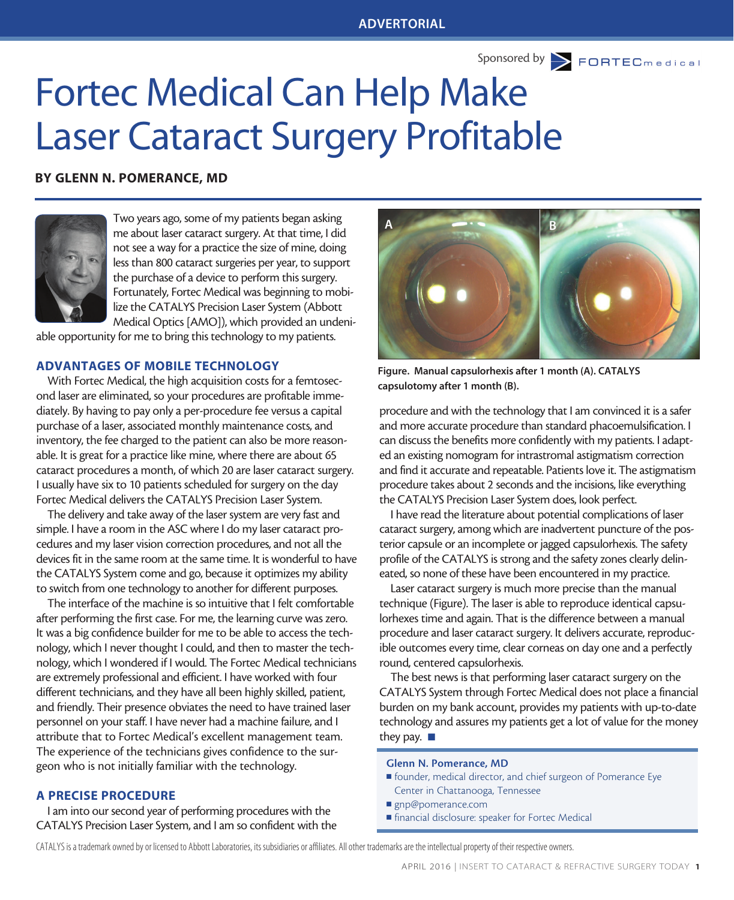Sponsored by **FORTEC** medical

# Fortec Medical Can Help Make Laser Cataract Surgery Profitable

#### BY GLENN N. POMERANCE, MD



Two years ago, some of my patients began asking me about laser cataract surgery. At that time, I did not see a way for a practice the size of mine, doing less than 800 cataract surgeries per year, to support the purchase of a device to perform this surgery. Fortunately, Fortec Medical was beginning to mobilize the CATALYS Precision Laser System (Abbott Medical Optics [AMO]), which provided an undeni-

able opportunity for me to bring this technology to my patients.

### ADVANTAGES OF MOBILE TECHNOLOGY

With Fortec Medical, the high acquisition costs for a femtosecond laser are eliminated, so your procedures are profitable immediately. By having to pay only a per-procedure fee versus a capital purchase of a laser, associated monthly maintenance costs, and inventory, the fee charged to the patient can also be more reasonable. It is great for a practice like mine, where there are about 65 cataract procedures a month, of which 20 are laser cataract surgery. I usually have six to 10 patients scheduled for surgery on the day Fortec Medical delivers the CATALYS Precision Laser System.

The delivery and take away of the laser system are very fast and simple. I have a room in the ASC where I do my laser cataract procedures and my laser vision correction procedures, and not all the devices fit in the same room at the same time. It is wonderful to have the CATALYS System come and go, because it optimizes my ability to switch from one technology to another for different purposes.

The interface of the machine is so intuitive that I felt comfortable after performing the first case. For me, the learning curve was zero. It was a big confidence builder for me to be able to access the technology, which I never thought I could, and then to master the technology, which I wondered if I would. The Fortec Medical technicians are extremely professional and efficient. I have worked with four different technicians, and they have all been highly skilled, patient, and friendly. Their presence obviates the need to have trained laser personnel on your staff. I have never had a machine failure, and I attribute that to Fortec Medical's excellent management team. The experience of the technicians gives confidence to the surgeon who is not initially familiar with the technology.

#### A PRECISE PROCEDURE

I am into our second year of performing procedures with the CATALYS Precision Laser System, and I am so confident with the



Figure. Manual capsulorhexis after 1 month (A). CATALYS capsulotomy after 1 month (B).

procedure and with the technology that I am convinced it is a safer and more accurate procedure than standard phacoemulsification. I can discuss the benefits more confidently with my patients. I adapted an existing nomogram for intrastromal astigmatism correction and find it accurate and repeatable. Patients love it. The astigmatism procedure takes about 2 seconds and the incisions, like everything the CATALYS Precision Laser System does, look perfect.

I have read the literature about potential complications of laser cataract surgery, among which are inadvertent puncture of the posterior capsule or an incomplete or jagged capsulorhexis. The safety profile of the CATALYS is strong and the safety zones clearly delineated, so none of these have been encountered in my practice.

Laser cataract surgery is much more precise than the manual technique (Figure). The laser is able to reproduce identical capsulorhexes time and again. That is the difference between a manual procedure and laser cataract surgery. It delivers accurate, reproducible outcomes every time, clear corneas on day one and a perfectly round, centered capsulorhexis.

The best news is that performing laser cataract surgery on the CATALYS System through Fortec Medical does not place a financial burden on my bank account, provides my patients with up-to-date technology and assures my patients get a lot of value for the money they pay.  $\blacksquare$ 

#### Glenn N. Pomerance, MD

- <sup>n</sup> founder, medical director, and chief surgeon of Pomerance Eye Center in Chattanooga, Tennessee
- gnp@pomerance.com
- financial disclosure: speaker for Fortec Medical

CATALYS is a trademark owned by or licensed to Abbott Laboratories, its subsidiaries or affiliates. All other trademarks are the intellectual property of their respective owners.